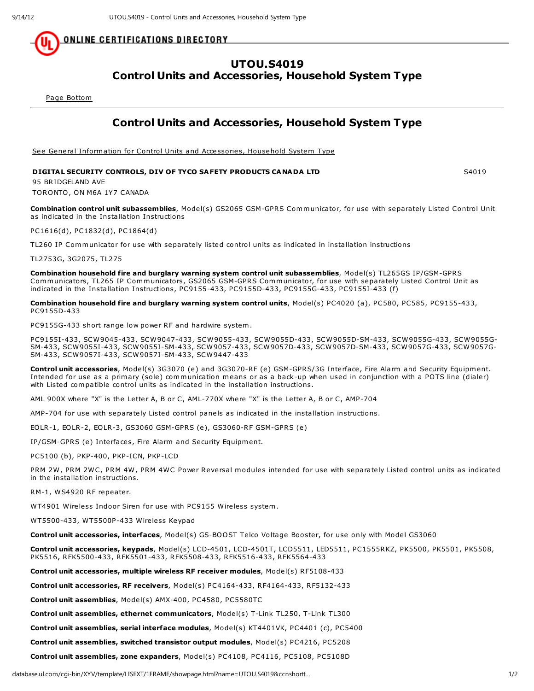<u>ONLINE CERTIFICATIONS DIRECTORY</u>

## UTOU.S4019 Control Units and Accessories, Household System Type

Page Bottom

## Control Units and Accessories, Household System Type

See General Information for Control Units and Accessories, Household System Type

## DIGITAL SECURITY CONTROLS, DIV OF TYCO SAFETY PRODUCTS CANADA LTD SANDIS SAND SAO19

95 BRIDGELAND AVE TORONTO, ON M6A 1Y7 CANADA

Combination control unit subassemblies, Model(s) GS2065 GSM-GPRS Communicator, for use with separately Listed Control Unit as indicated in the Installation Instructions

PC1616(d), PC1832(d), PC1864(d)

TL260 IP Communicator for use with separately listed control units as indicated in installation instructions

TL2753G, 3G2075, TL275

Combination household fire and burglary warning system control unit subassemblies, Model(s) TL265GS IP/GSM-GPRS Communicators, TL265 IP Communicators, GS2065 GSM-GPRS Communicator, for use with separately Listed Control Unit as indicated in the Installation Instructions, PC9155-433, PC9155D-433, PC9155G-433, PC9155I-433 (f)

Combination household fire and burglary warning system control units, Model(s) PC4020 (a), PC580, PC585, PC9155-433, PC9155D-433

PC9155G-433 short range low power RF and hardwire system.

PC9155I-433, SCW9045-433, SCW9047-433, SCW9055-433, SCW9055D-433, SCW9055D-SM-433, SCW9055G-433, SCW9055G-SM-433, SCW9055I-433, SCW9055I-SM-433, SCW9057-433, SCW9057D-433, SCW9057D-SM-433, SCW9057G-433, SCW9057G-SM-433, SCW9057I-433, SCW9057I-SM-433, SCW9447-433

Control unit accessories, Model(s) 3G3070 (e) and 3G3070-RF (e) GSM-GPRS/3G Interface, Fire Alarm and Security Equipment. Intended for use as a primary (sole) communication means or as a back-up when used in conjunction with a POTS line (dialer) with Listed compatible control units as indicated in the installation instructions.

AML 900X where "X" is the Letter A, B or C, AML-770X where "X" is the Letter A, B or C, AMP-704

AMP-704 for use with separately Listed control panels as indicated in the installation instructions.

EOLR-1, EOLR-2, EOLR-3, GS3060 GSM-GPRS (e), GS3060-RF GSM-GPRS (e)

IP/GSM-GPRS (e) Interfaces, Fire Alarm and Security Equipment.

PC5100 (b), PKP-400, PKP-ICN, PKP-LCD

PRM 2W, PRM 2WC, PRM 4W, PRM 4WC Power Reversal modules intended for use with separately Listed control units as indicated in the installation instructions.

RM-1, WS4920 RF repeater.

WT4901 Wireless Indoor Siren for use with PC9155 Wireless system.

WT5500-433, WT5500P-433 Wireless Keypad

Control unit accessories, interfaces, Model(s) GS-BOOST Telco Voltage Booster, for use only with Model GS3060

Control unit accessories, keypads, Model(s) LCD-4501, LCD-4501T, LCD5511, LED5511, PC1555RKZ, PK5500, PK5501, PK5508, PK5516, RFK5500-433, RFK5501-433, RFK5508-433, RFK5516-433, RFK5564-433

Control unit accessories, multiple wireless RF receiver modules, Model(s) RF5108-433

Control unit accessories, RF receivers, Model(s) PC4164-433, RF4164-433, RF5132-433

Control unit assemblies, Model(s) AMX-400, PC4580, PC5580TC

Control unit assemblies, ethernet communicators, Model(s) T-Link TL250, T-Link TL300

Control unit assemblies, serial interface modules, Model(s) KT4401VK, PC4401 (c), PC5400

Control unit assemblies, switched transistor output modules, Model(s) PC4216, PC5208

Control unit assemblies, zone expanders, Model(s) PC4108, PC4116, PC5108, PC5108D